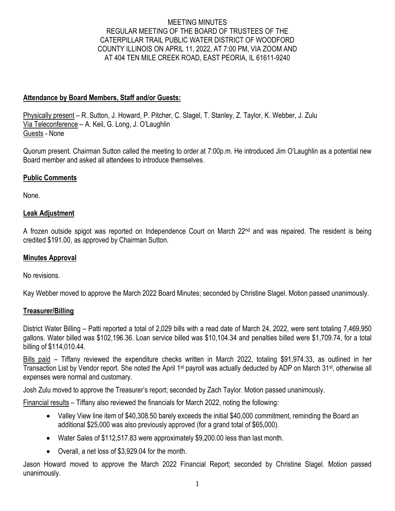## MEETING MINUTES REGULAR MEETING OF THE BOARD OF TRUSTEES OF THE CATERPILLAR TRAIL PUBLIC WATER DISTRICT OF WOODFORD COUNTY ILLINOIS ON APRIL 11, 2022, AT 7:00 PM, VIA ZOOM AND AT 404 TEN MILE CREEK ROAD, EAST PEORIA, IL 61611-9240

## **Attendance by Board Members, Staff and/or Guests:**

Physically present – R. Sutton, J. Howard, P. Pitcher, C. Slagel, T. Stanley, Z. Taylor, K. Webber, J. Zulu Via Teleconference – A. Keil, G. Long, J. O'Laughlin Guests - None

Quorum present. Chairman Sutton called the meeting to order at 7:00p.m. He introduced Jim O'Laughlin as a potential new Board member and asked all attendees to introduce themselves.

## **Public Comments**

None.

## **Leak Adjustment**

A frozen outside spigot was reported on Independence Court on March 22<sup>nd</sup> and was repaired. The resident is being credited \$191.00, as approved by Chairman Sutton.

## **Minutes Approval**

No revisions.

Kay Webber moved to approve the March 2022 Board Minutes; seconded by Christine Slagel. Motion passed unanimously.

## **Treasurer/Billing**

District Water Billing – Patti reported a total of 2,029 bills with a read date of March 24, 2022, were sent totaling 7,469,950 gallons. Water billed was \$102,196.36. Loan service billed was \$10,104.34 and penalties billed were \$1,709.74, for a total billing of \$114,010.44.

Bills paid – Tiffany reviewed the expenditure checks written in March 2022, totaling \$91,974.33, as outlined in her Transaction List by Vendor report. She noted the April 1<sup>st</sup> payroll was actually deducted by ADP on March 31<sup>st</sup>, otherwise all expenses were normal and customary.

Josh Zulu moved to approve the Treasurer's report; seconded by Zach Taylor. Motion passed unanimously.

Financial results – Tiffany also reviewed the financials for March 2022, noting the following:

- Valley View line item of \$40,308.50 barely exceeds the initial \$40,000 commitment, reminding the Board an additional \$25,000 was also previously approved (for a grand total of \$65,000).
- Water Sales of \$112,517.83 were approximately \$9,200.00 less than last month.
- Overall, a net loss of \$3,929.04 for the month.

Jason Howard moved to approve the March 2022 Financial Report; seconded by Christine Slagel. Motion passed unanimously.